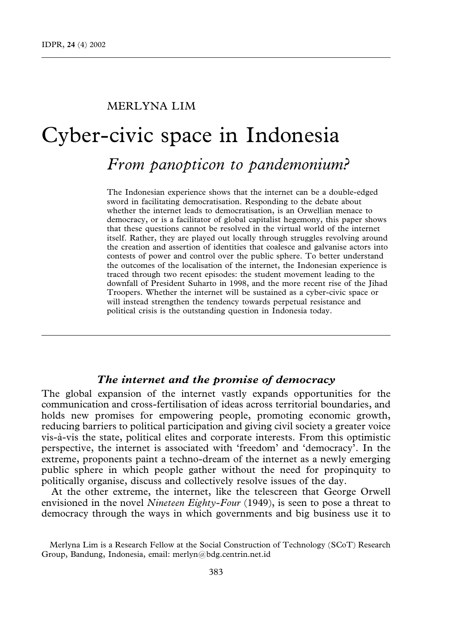## MERLYNA LIM

# Cyber-civic space in Indonesia

## From panopticon to pandemonium?

The Indonesian experience shows that the internet can be a double-edged sword in facilitating democratisation. Responding to the debate about whether the internet leads to democratisation, is an Orwellian menace to democracy, or is a facilitator of global capitalist hegemony, this paper shows that these questions cannot be resolved in the virtual world of the internet itself. Rather, they are played out locally through struggles revolving around the creation and assertion of identities that coalesce and galvanise actors into contests of power and control over the public sphere. To better understand the outcomes of the localisation of the internet, the Indonesian experience is traced through two recent episodes: the student movement leading to the downfall of President Suharto in 1998, and the more recent rise of the Jihad Troopers. Whether the internet will be sustained as a cyber-civic space or will instead strengthen the tendency towards perpetual resistance and political crisis is the outstanding question in Indonesia today.

## The internet and the promise of democracy

The global expansion of the internet vastly expands opportunities for the communication and cross-fertilisation of ideas across territorial boundaries, and holds new promises for empowering people, promoting economic growth, reducing barriers to political participation and giving civil society a greater voice vis-a`-vis the state, political elites and corporate interests. From this optimistic perspective, the internet is associated with 'freedom' and 'democracy'. In the extreme, proponents paint a techno-dream of the internet as a newly emerging public sphere in which people gather without the need for propinquity to politically organise, discuss and collectively resolve issues of the day.

At the other extreme, the internet, like the telescreen that George Orwell envisioned in the novel Nineteen Eighty-Four  $(1949)$ , is seen to pose a threat to democracy through the ways in which governments and big business use it to

Merlyna Lim is a Research Fellow at the Social Construction of Technology (SCoT) Research Group, Bandung, Indonesia, email: merlyn@bdg.centrin.net.id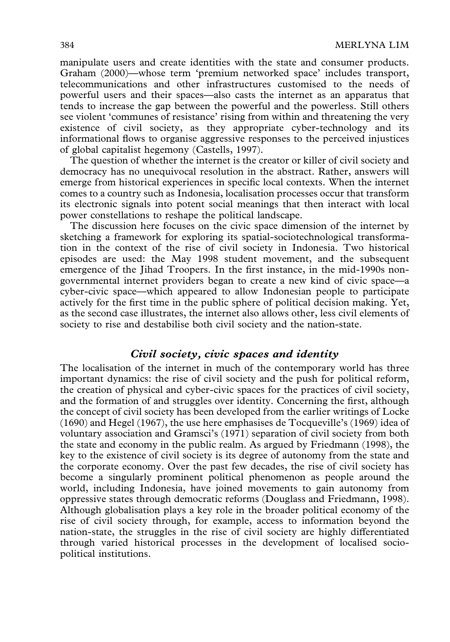manipulate users and create identities with the state and consumer products. Graham (2000)—whose term 'premium networked space' includes transport, telecommunications and other infrastructures customised to the needs of powerful users and their spaces—also casts the internet as an apparatus that tends to increase the gap between the powerful and the powerless. Still others see violent 'communes of resistance' rising from within and threatening the very existence of civil society, as they appropriate cyber-technology and its informational flows to organise aggressive responses to the perceived injustices of global capitalist hegemony (Castells, 1997).

The question of whether the internet is the creator or killer of civil society and democracy has no unequivocal resolution in the abstract. Rather, answers will emerge from historical experiences in specific local contexts. When the internet comes to a country such as Indonesia, localisation processes occur that transform its electronic signals into potent social meanings that then interact with local power constellations to reshape the political landscape.

The discussion here focuses on the civic space dimension of the internet by sketching a framework for exploring its spatial-sociotechnological transformation in the context of the rise of civil society in Indonesia. Two historical episodes are used: the May 1998 student movement, and the subsequent emergence of the Jihad Troopers. In the first instance, in the mid-1990s nongovernmental internet providers began to create a new kind of civic space—a cyber-civic space—which appeared to allow Indonesian people to participate actively for the first time in the public sphere of political decision making. Yet, as the second case illustrates, the internet also allows other, less civil elements of society to rise and destabilise both civil society and the nation-state.

## Civil society, civic spaces and identity

The localisation of the internet in much of the contemporary world has three important dynamics: the rise of civil society and the push for political reform, the creation of physical and cyber-civic spaces for the practices of civil society, and the formation of and struggles over identity. Concerning the first, although the concept of civil society has been developed from the earlier writings of Locke (1690) and Hegel (1967), the use here emphasises de Tocqueville's (1969) idea of voluntary association and Gramsci's (1971) separation of civil society from both the state and economy in the public realm. As argued by Friedmann (1998), the key to the existence of civil society is its degree of autonomy from the state and the corporate economy. Over the past few decades, the rise of civil society has become a singularly prominent political phenomenon as people around the world, including Indonesia, have joined movements to gain autonomy from oppressive states through democratic reforms (Douglass and Friedmann, 1998). Although globalisation plays a key role in the broader political economy of the rise of civil society through, for example, access to information beyond the nation-state, the struggles in the rise of civil society are highly differentiated through varied historical processes in the development of localised sociopolitical institutions.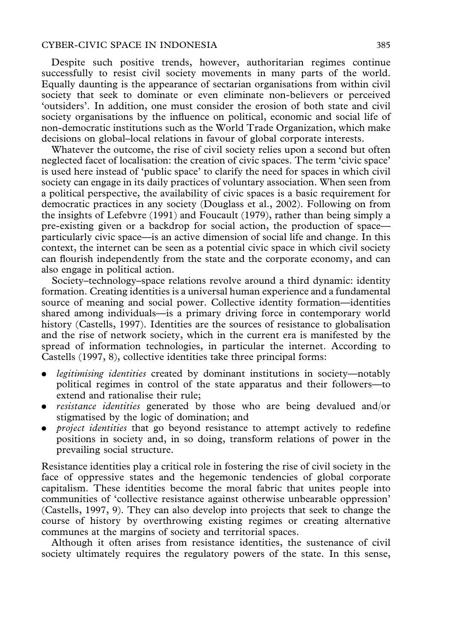#### CYBER-CIVIC SPACE IN INDONESIA 385

Despite such positive trends, however, authoritarian regimes continue successfully to resist civil society movements in many parts of the world. Equally daunting is the appearance of sectarian organisations from within civil society that seek to dominate or even eliminate non-believers or perceived 'outsiders'. In addition, one must consider the erosion of both state and civil society organisations by the influence on political, economic and social life of non-democratic institutions such as the World Trade Organization, which make decisions on global–local relations in favour of global corporate interests.

Whatever the outcome, the rise of civil society relies upon a second but often neglected facet of localisation: the creation of civic spaces. The term 'civic space' is used here instead of 'public space' to clarify the need for spaces in which civil society can engage in its daily practices of voluntary association. When seen from a political perspective, the availability of civic spaces is a basic requirement for democratic practices in any society (Douglass et al., 2002). Following on from the insights of Lefebvre (1991) and Foucault (1979), rather than being simply a pre-existing given or a backdrop for social action, the production of space particularly civic space—is an active dimension of social life and change. In this context, the internet can be seen as a potential civic space in which civil society can flourish independently from the state and the corporate economy, and can also engage in political action.

Society–technology–space relations revolve around a third dynamic: identity formation. Creating identities is a universal human experience and a fundamental source of meaning and social power. Collective identity formation—identities shared among individuals—is a primary driving force in contemporary world history (Castells, 1997). Identities are the sources of resistance to globalisation and the rise of network society, which in the current era is manifested by the spread of information technologies, in particular the internet. According to Castells (1997, 8), collective identities take three principal forms:

- legitimising identities created by dominant institutions in society—notably political regimes in control of the state apparatus and their followers—to extend and rationalise their rule;
- *resistance identities* generated by those who are being devalued and/or stigmatised by the logic of domination; and
- *project identities* that go beyond resistance to attempt actively to redefine positions in society and, in so doing, transform relations of power in the prevailing social structure.

Resistance identities play a critical role in fostering the rise of civil society in the face of oppressive states and the hegemonic tendencies of global corporate capitalism. These identities become the moral fabric that unites people into communities of 'collective resistance against otherwise unbearable oppression' (Castells, 1997, 9). They can also develop into projects that seek to change the course of history by overthrowing existing regimes or creating alternative communes at the margins of society and territorial spaces.

Although it often arises from resistance identities, the sustenance of civil society ultimately requires the regulatory powers of the state. In this sense,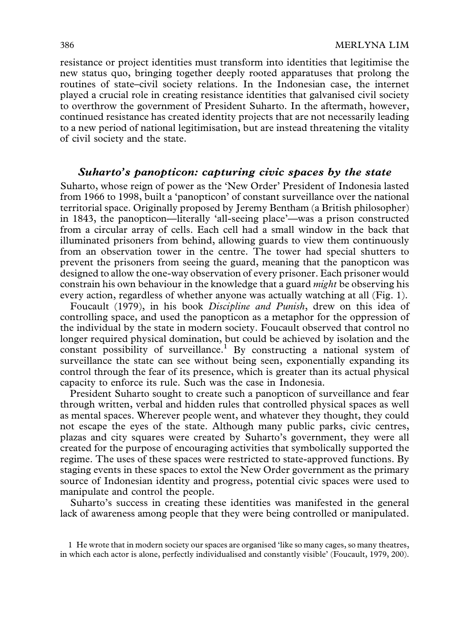resistance or project identities must transform into identities that legitimise the new status quo, bringing together deeply rooted apparatuses that prolong the routines of state–civil society relations. In the Indonesian case, the internet played a crucial role in creating resistance identities that galvanised civil society to overthrow the government of President Suharto. In the aftermath, however, continued resistance has created identity projects that are not necessarily leading to a new period of national legitimisation, but are instead threatening the vitality of civil society and the state.

## Suharto's panopticon: capturing civic spaces by the state

Suharto, whose reign of power as the 'New Order' President of Indonesia lasted from 1966 to 1998, built a 'panopticon' of constant surveillance over the national territorial space. Originally proposed by Jeremy Bentham (a British philosopher) in 1843, the panopticon—literally 'all-seeing place'—was a prison constructed from a circular array of cells. Each cell had a small window in the back that illuminated prisoners from behind, allowing guards to view them continuously from an observation tower in the centre. The tower had special shutters to prevent the prisoners from seeing the guard, meaning that the panopticon was designed to allow the one-way observation of every prisoner. Each prisoner would constrain his own behaviour in the knowledge that a guard *might* be observing his every action, regardless of whether anyone was actually watching at all (Fig. 1).

Foucault (1979), in his book Discipline and Punish, drew on this idea of controlling space, and used the panopticon as a metaphor for the oppression of the individual by the state in modern society. Foucault observed that control no longer required physical domination, but could be achieved by isolation and the constant possibility of surveillance.<sup>1</sup> By constructing a national system of surveillance the state can see without being seen, exponentially expanding its control through the fear of its presence, which is greater than its actual physical capacity to enforce its rule. Such was the case in Indonesia.

President Suharto sought to create such a panopticon of surveillance and fear through written, verbal and hidden rules that controlled physical spaces as well as mental spaces. Wherever people went, and whatever they thought, they could not escape the eyes of the state. Although many public parks, civic centres, plazas and city squares were created by Suharto's government, they were all created for the purpose of encouraging activities that symbolically supported the regime. The uses of these spaces were restricted to state-approved functions. By staging events in these spaces to extol the New Order government as the primary source of Indonesian identity and progress, potential civic spaces were used to manipulate and control the people.

Suharto's success in creating these identities was manifested in the general lack of awareness among people that they were being controlled or manipulated.

1 He wrote that in modern society our spaces are organised 'like so many cages, so many theatres, in which each actor is alone, perfectly individualised and constantly visible' (Foucault, 1979, 200).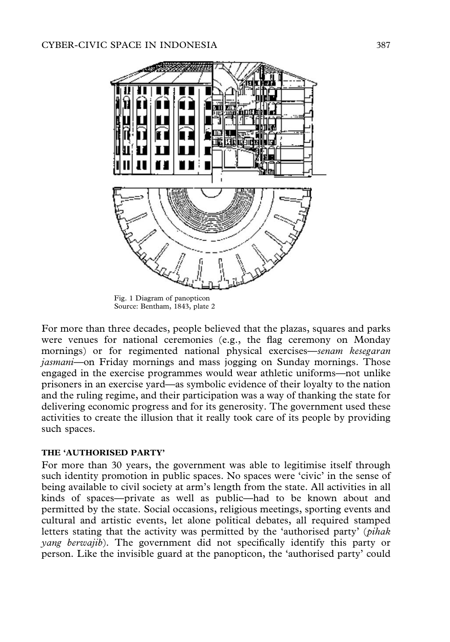

Fig. 1 Diagram of panopticon Source: Bentham, 1843, plate 2

For more than three decades, people believed that the plazas, squares and parks were venues for national ceremonies (e.g., the flag ceremony on Monday mornings) or for regimented national physical exercises—senam kesegaran jasmani—on Friday mornings and mass jogging on Sunday mornings. Those engaged in the exercise programmes would wear athletic uniforms—not unlike prisoners in an exercise yard—as symbolic evidence of their loyalty to the nation and the ruling regime, and their participation was a way of thanking the state for delivering economic progress and for its generosity. The government used these activities to create the illusion that it really took care of its people by providing such spaces.

## THE 'AUTHORISED PARTY'

For more than 30 years, the government was able to legitimise itself through such identity promotion in public spaces. No spaces were 'civic' in the sense of being available to civil society at arm's length from the state. All activities in all kinds of spaces—private as well as public—had to be known about and permitted by the state. Social occasions, religious meetings, sporting events and cultural and artistic events, let alone political debates, all required stamped letters stating that the activity was permitted by the 'authorised party' (pihak yang berwajib). The government did not specifically identify this party or person. Like the invisible guard at the panopticon, the 'authorised party' could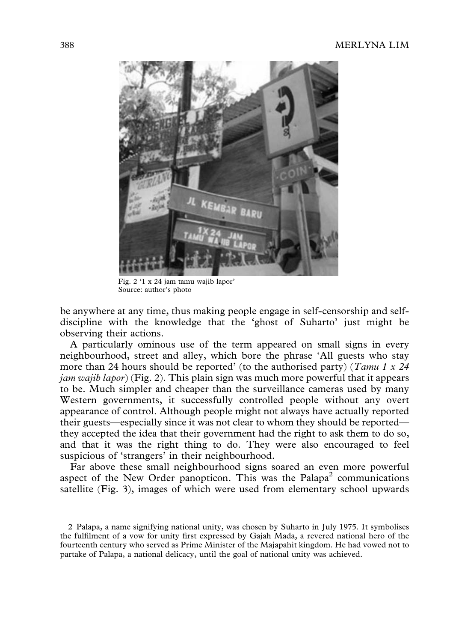

Fig. 2 '1 x 24 jam tamu wajib lapor' Source: author's photo

be anywhere at any time, thus making people engage in self-censorship and selfdiscipline with the knowledge that the 'ghost of Suharto' just might be observing their actions.

A particularly ominous use of the term appeared on small signs in every neighbourhood, street and alley, which bore the phrase 'All guests who stay more than 24 hours should be reported' (to the authorised party) (*Tamu 1 x 24*  $jam \t{wa}$ jib lapor) (Fig. 2). This plain sign was much more powerful that it appears to be. Much simpler and cheaper than the surveillance cameras used by many Western governments, it successfully controlled people without any overt appearance of control. Although people might not always have actually reported their guests—especially since it was not clear to whom they should be reported they accepted the idea that their government had the right to ask them to do so, and that it was the right thing to do. They were also encouraged to feel suspicious of 'strangers' in their neighbourhood.

Far above these small neighbourhood signs soared an even more powerful aspect of the New Order panopticon. This was the Palapa<sup>2</sup> communications satellite (Fig. 3), images of which were used from elementary school upwards

<sup>2</sup> Palapa, a name signifying national unity, was chosen by Suharto in July 1975. It symbolises the fulfilment of a vow for unity first expressed by Gajah Mada, a revered national hero of the fourteenth century who served as Prime Minister of the Majapahit kingdom. He had vowed not to partake of Palapa, a national delicacy, until the goal of national unity was achieved.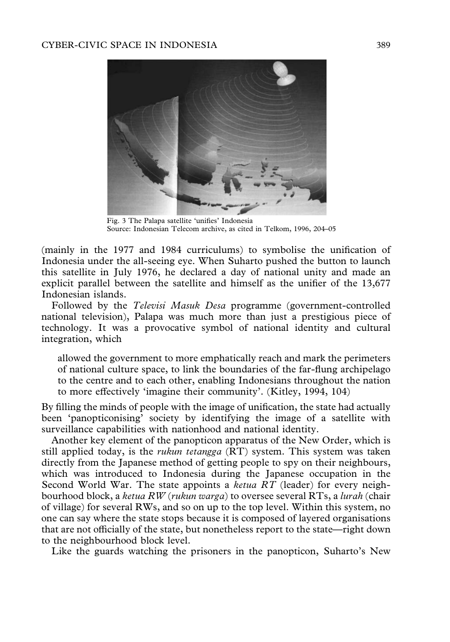

Fig. 3 The Palapa satellite 'unifies' Indonesia Source: Indonesian Telecom archive, as cited in Telkom, 1996, 204–05

(mainly in the 1977 and 1984 curriculums) to symbolise the unification of Indonesia under the all-seeing eye. When Suharto pushed the button to launch this satellite in July 1976, he declared a day of national unity and made an explicit parallel between the satellite and himself as the unifier of the 13,677 Indonesian islands.

Followed by the Televisi Masuk Desa programme (government-controlled national television), Palapa was much more than just a prestigious piece of technology. It was a provocative symbol of national identity and cultural integration, which

allowed the government to more emphatically reach and mark the perimeters of national culture space, to link the boundaries of the far-flung archipelago to the centre and to each other, enabling Indonesians throughout the nation to more effectively 'imagine their community'. (Kitley, 1994, 104)

By filling the minds of people with the image of unification, the state had actually been 'panopticonising' society by identifying the image of a satellite with surveillance capabilities with nationhood and national identity.

Another key element of the panopticon apparatus of the New Order, which is still applied today, is the *rukun tetangga*  $(RT)$  system. This system was taken directly from the Japanese method of getting people to spy on their neighbours, which was introduced to Indonesia during the Japanese occupation in the Second World War. The state appoints a *ketua RT* (leader) for every neighbourhood block, a ketua RW (rukun warga) to oversee several RTs, a lurah (chair of village) for several RWs, and so on up to the top level. Within this system, no one can say where the state stops because it is composed of layered organisations that are not officially of the state, but nonetheless report to the state—right down to the neighbourhood block level.

Like the guards watching the prisoners in the panopticon, Suharto's New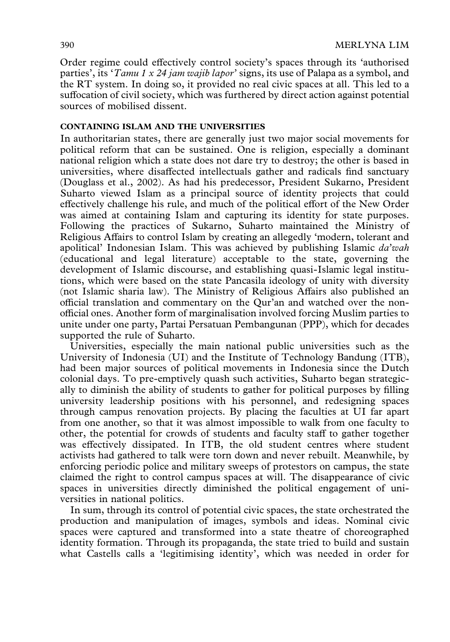Order regime could effectively control society's spaces through its 'authorised parties', its 'Tamu 1 x 24 jam wajib lapor' signs, its use of Palapa as a symbol, and the RT system. In doing so, it provided no real civic spaces at all. This led to a suffocation of civil society, which was furthered by direct action against potential sources of mobilised dissent.

### CONTAINING ISLAM AND THE UNIVERSITIES

In authoritarian states, there are generally just two major social movements for political reform that can be sustained. One is religion, especially a dominant national religion which a state does not dare try to destroy; the other is based in universities, where disaffected intellectuals gather and radicals find sanctuary (Douglass et al., 2002). As had his predecessor, President Sukarno, President Suharto viewed Islam as a principal source of identity projects that could effectively challenge his rule, and much of the political effort of the New Order was aimed at containing Islam and capturing its identity for state purposes. Following the practices of Sukarno, Suharto maintained the Ministry of Religious Affairs to control Islam by creating an allegedly 'modern, tolerant and apolitical' Indonesian Islam. This was achieved by publishing Islamic da'wah (educational and legal literature) acceptable to the state, governing the development of Islamic discourse, and establishing quasi-Islamic legal institutions, which were based on the state Pancasila ideology of unity with diversity (not Islamic sharia law). The Ministry of Religious Affairs also published an official translation and commentary on the Qur'an and watched over the nonofficial ones. Another form of marginalisation involved forcing Muslim parties to unite under one party, Partai Persatuan Pembangunan (PPP), which for decades supported the rule of Suharto.

Universities, especially the main national public universities such as the University of Indonesia (UI) and the Institute of Technology Bandung (ITB), had been major sources of political movements in Indonesia since the Dutch colonial days. To pre-emptively quash such activities, Suharto began strategically to diminish the ability of students to gather for political purposes by filling university leadership positions with his personnel, and redesigning spaces through campus renovation projects. By placing the faculties at UI far apart from one another, so that it was almost impossible to walk from one faculty to other, the potential for crowds of students and faculty staff to gather together was effectively dissipated. In ITB, the old student centres where student activists had gathered to talk were torn down and never rebuilt. Meanwhile, by enforcing periodic police and military sweeps of protestors on campus, the state claimed the right to control campus spaces at will. The disappearance of civic spaces in universities directly diminished the political engagement of universities in national politics.

In sum, through its control of potential civic spaces, the state orchestrated the production and manipulation of images, symbols and ideas. Nominal civic spaces were captured and transformed into a state theatre of choreographed identity formation. Through its propaganda, the state tried to build and sustain what Castells calls a 'legitimising identity', which was needed in order for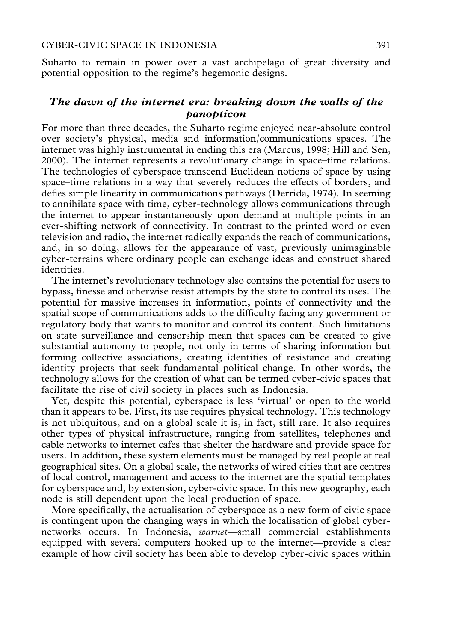Suharto to remain in power over a vast archipelago of great diversity and potential opposition to the regime's hegemonic designs.

## The dawn of the internet era: breaking down the walls of the panopticon

For more than three decades, the Suharto regime enjoyed near-absolute control over society's physical, media and information/communications spaces. The internet was highly instrumental in ending this era (Marcus, 1998; Hill and Sen, 2000). The internet represents a revolutionary change in space–time relations. The technologies of cyberspace transcend Euclidean notions of space by using space–time relations in a way that severely reduces the effects of borders, and defies simple linearity in communications pathways (Derrida, 1974). In seeming to annihilate space with time, cyber-technology allows communications through the internet to appear instantaneously upon demand at multiple points in an ever-shifting network of connectivity. In contrast to the printed word or even television and radio, the internet radically expands the reach of communications, and, in so doing, allows for the appearance of vast, previously unimaginable cyber-terrains where ordinary people can exchange ideas and construct shared identities.

The internet's revolutionary technology also contains the potential for users to bypass, finesse and otherwise resist attempts by the state to control its uses. The potential for massive increases in information, points of connectivity and the spatial scope of communications adds to the difficulty facing any government or regulatory body that wants to monitor and control its content. Such limitations on state surveillance and censorship mean that spaces can be created to give substantial autonomy to people, not only in terms of sharing information but forming collective associations, creating identities of resistance and creating identity projects that seek fundamental political change. In other words, the technology allows for the creation of what can be termed cyber-civic spaces that facilitate the rise of civil society in places such as Indonesia.

Yet, despite this potential, cyberspace is less 'virtual' or open to the world than it appears to be. First, its use requires physical technology. This technology is not ubiquitous, and on a global scale it is, in fact, still rare. It also requires other types of physical infrastructure, ranging from satellites, telephones and cable networks to internet cafes that shelter the hardware and provide space for users. In addition, these system elements must be managed by real people at real geographical sites. On a global scale, the networks of wired cities that are centres of local control, management and access to the internet are the spatial templates for cyberspace and, by extension, cyber-civic space. In this new geography, each node is still dependent upon the local production of space.

More specifically, the actualisation of cyberspace as a new form of civic space is contingent upon the changing ways in which the localisation of global cybernetworks occurs. In Indonesia, warnet—small commercial establishments equipped with several computers hooked up to the internet—provide a clear example of how civil society has been able to develop cyber-civic spaces within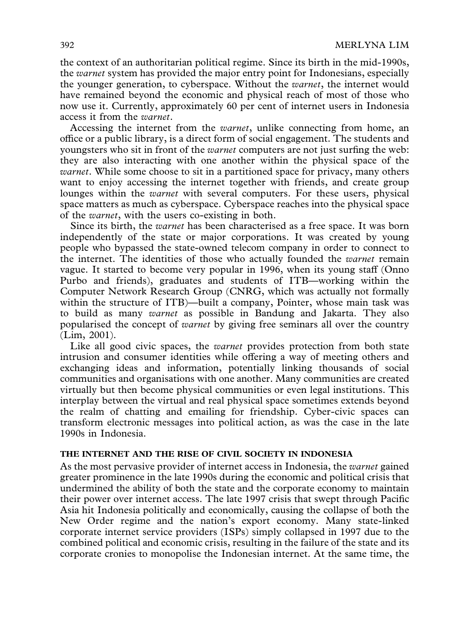the context of an authoritarian political regime. Since its birth in the mid-1990s, the warnet system has provided the major entry point for Indonesians, especially the younger generation, to cyberspace. Without the *warnet*, the internet would have remained beyond the economic and physical reach of most of those who now use it. Currently, approximately 60 per cent of internet users in Indonesia access it from the warnet.

Accessing the internet from the warnet, unlike connecting from home, an office or a public library, is a direct form of social engagement. The students and youngsters who sit in front of the *warnet* computers are not just surfing the web: they are also interacting with one another within the physical space of the warnet. While some choose to sit in a partitioned space for privacy, many others want to enjoy accessing the internet together with friends, and create group lounges within the *warnet* with several computers. For these users, physical space matters as much as cyberspace. Cyberspace reaches into the physical space of the warnet, with the users co-existing in both.

Since its birth, the warnet has been characterised as a free space. It was born independently of the state or major corporations. It was created by young people who bypassed the state-owned telecom company in order to connect to the internet. The identities of those who actually founded the *warnet* remain vague. It started to become very popular in 1996, when its young staff (Onno Purbo and friends), graduates and students of ITB—working within the Computer Network Research Group (CNRG, which was actually not formally within the structure of ITB)—built a company, Pointer, whose main task was to build as many warnet as possible in Bandung and Jakarta. They also popularised the concept of warnet by giving free seminars all over the country (Lim, 2001).

Like all good civic spaces, the *warnet* provides protection from both state intrusion and consumer identities while offering a way of meeting others and exchanging ideas and information, potentially linking thousands of social communities and organisations with one another. Many communities are created virtually but then become physical communities or even legal institutions. This interplay between the virtual and real physical space sometimes extends beyond the realm of chatting and emailing for friendship. Cyber-civic spaces can transform electronic messages into political action, as was the case in the late 1990s in Indonesia.

#### THE INTERNET AND THE RISE OF CIVIL SOCIETY IN INDONESIA

As the most pervasive provider of internet access in Indonesia, the warnet gained greater prominence in the late 1990s during the economic and political crisis that undermined the ability of both the state and the corporate economy to maintain their power over internet access. The late 1997 crisis that swept through Pacific Asia hit Indonesia politically and economically, causing the collapse of both the New Order regime and the nation's export economy. Many state-linked corporate internet service providers (ISPs) simply collapsed in 1997 due to the combined political and economic crisis, resulting in the failure of the state and its corporate cronies to monopolise the Indonesian internet. At the same time, the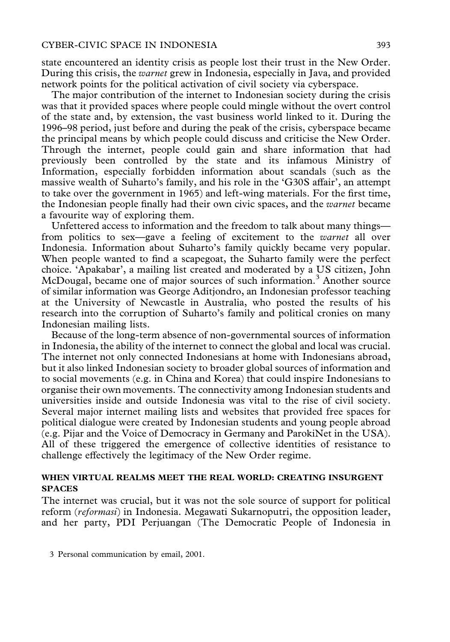state encountered an identity crisis as people lost their trust in the New Order. During this crisis, the warnet grew in Indonesia, especially in Java, and provided network points for the political activation of civil society via cyberspace.

The major contribution of the internet to Indonesian society during the crisis was that it provided spaces where people could mingle without the overt control of the state and, by extension, the vast business world linked to it. During the 1996–98 period, just before and during the peak of the crisis, cyberspace became the principal means by which people could discuss and criticise the New Order. Through the internet, people could gain and share information that had previously been controlled by the state and its infamous Ministry of Information, especially forbidden information about scandals (such as the massive wealth of Suharto's family, and his role in the 'G30S affair', an attempt to take over the government in 1965) and left-wing materials. For the first time, the Indonesian people finally had their own civic spaces, and the warnet became a favourite way of exploring them.

Unfettered access to information and the freedom to talk about many things from politics to sex—gave a feeling of excitement to the warnet all over Indonesia. Information about Suharto's family quickly became very popular. When people wanted to find a scapegoat, the Suharto family were the perfect choice. 'Apakabar', a mailing list created and moderated by a US citizen, John McDougal, became one of major sources of such information.<sup>3</sup> Another source of similar information was George Aditjondro, an Indonesian professor teaching at the University of Newcastle in Australia, who posted the results of his research into the corruption of Suharto's family and political cronies on many Indonesian mailing lists.

Because of the long-term absence of non-governmental sources of information in Indonesia, the ability of the internet to connect the global and local was crucial. The internet not only connected Indonesians at home with Indonesians abroad, but it also linked Indonesian society to broader global sources of information and to social movements (e.g. in China and Korea) that could inspire Indonesians to organise their own movements. The connectivity among Indonesian students and universities inside and outside Indonesia was vital to the rise of civil society. Several major internet mailing lists and websites that provided free spaces for political dialogue were created by Indonesian students and young people abroad (e.g. Pijar and the Voice of Democracy in Germany and ParokiNet in the USA). All of these triggered the emergence of collective identities of resistance to challenge effectively the legitimacy of the New Order regime.

## WHEN VIRTUAL REALMS MEET THE REAL WORLD: CREATING INSURGENT SPACES

The internet was crucial, but it was not the sole source of support for political reform (reformasi) in Indonesia. Megawati Sukarnoputri, the opposition leader, and her party, PDI Perjuangan (The Democratic People of Indonesia in

<sup>3</sup> Personal communication by email, 2001.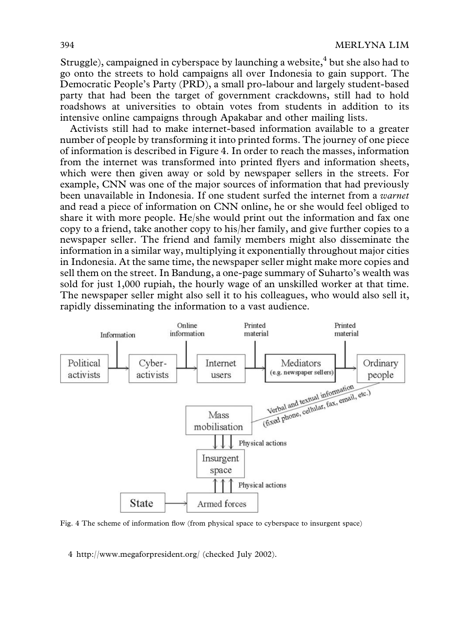Struggle), campaigned in cyberspace by launching a website, $4$  but she also had to go onto the streets to hold campaigns all over Indonesia to gain support. The Democratic People's Party (PRD), a small pro-labour and largely student-based party that had been the target of government crackdowns, still had to hold roadshows at universities to obtain votes from students in addition to its intensive online campaigns through Apakabar and other mailing lists.

Activists still had to make internet-based information available to a greater number of people by transforming it into printed forms. The journey of one piece of information is described in Figure 4. In order to reach the masses, information from the internet was transformed into printed flyers and information sheets, which were then given away or sold by newspaper sellers in the streets. For example, CNN was one of the major sources of information that had previously been unavailable in Indonesia. If one student surfed the internet from a warnet and read a piece of information on CNN online, he or she would feel obliged to share it with more people. He/she would print out the information and fax one copy to a friend, take another copy to his/her family, and give further copies to a newspaper seller. The friend and family members might also disseminate the information in a similar way, multiplying it exponentially throughout major cities in Indonesia. At the same time, the newspaper seller might make more copies and sell them on the street. In Bandung, a one-page summary of Suharto's wealth was sold for just 1,000 rupiah, the hourly wage of an unskilled worker at that time. The newspaper seller might also sell it to his colleagues, who would also sell it, rapidly disseminating the information to a vast audience.



Fig. 4 The scheme of information flow (from physical space to cyberspace to insurgent space)

4 http://www.megaforpresident.org/ (checked July 2002).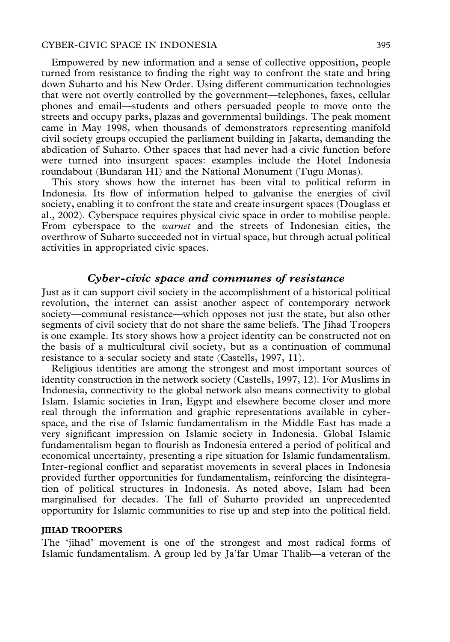#### CYBER-CIVIC SPACE IN INDONESIA 395

Empowered by new information and a sense of collective opposition, people turned from resistance to finding the right way to confront the state and bring down Suharto and his New Order. Using different communication technologies that were not overtly controlled by the government—telephones, faxes, cellular phones and email—students and others persuaded people to move onto the streets and occupy parks, plazas and governmental buildings. The peak moment came in May 1998, when thousands of demonstrators representing manifold civil society groups occupied the parliament building in Jakarta, demanding the abdication of Suharto. Other spaces that had never had a civic function before were turned into insurgent spaces: examples include the Hotel Indonesia roundabout (Bundaran HI) and the National Monument (Tugu Monas).

This story shows how the internet has been vital to political reform in Indonesia. Its flow of information helped to galvanise the energies of civil society, enabling it to confront the state and create insurgent spaces (Douglass et al., 2002). Cyberspace requires physical civic space in order to mobilise people. From cyberspace to the warnet and the streets of Indonesian cities, the overthrow of Suharto succeeded not in virtual space, but through actual political activities in appropriated civic spaces.

## Cyber-civic space and communes of resistance

Just as it can support civil society in the accomplishment of a historical political revolution, the internet can assist another aspect of contemporary network society—communal resistance—which opposes not just the state, but also other segments of civil society that do not share the same beliefs. The Jihad Troopers is one example. Its story shows how a project identity can be constructed not on the basis of a multicultural civil society, but as a continuation of communal resistance to a secular society and state (Castells, 1997, 11).

Religious identities are among the strongest and most important sources of identity construction in the network society (Castells, 1997, 12). For Muslims in Indonesia, connectivity to the global network also means connectivity to global Islam. Islamic societies in Iran, Egypt and elsewhere become closer and more real through the information and graphic representations available in cyberspace, and the rise of Islamic fundamentalism in the Middle East has made a very significant impression on Islamic society in Indonesia. Global Islamic fundamentalism began to flourish as Indonesia entered a period of political and economical uncertainty, presenting a ripe situation for Islamic fundamentalism. Inter-regional conflict and separatist movements in several places in Indonesia provided further opportunities for fundamentalism, reinforcing the disintegration of political structures in Indonesia. As noted above, Islam had been marginalised for decades. The fall of Suharto provided an unprecedented opportunity for Islamic communities to rise up and step into the political field.

#### JIHAD TROOPERS

The 'jihad' movement is one of the strongest and most radical forms of Islamic fundamentalism. A group led by Ja'far Umar Thalib—a veteran of the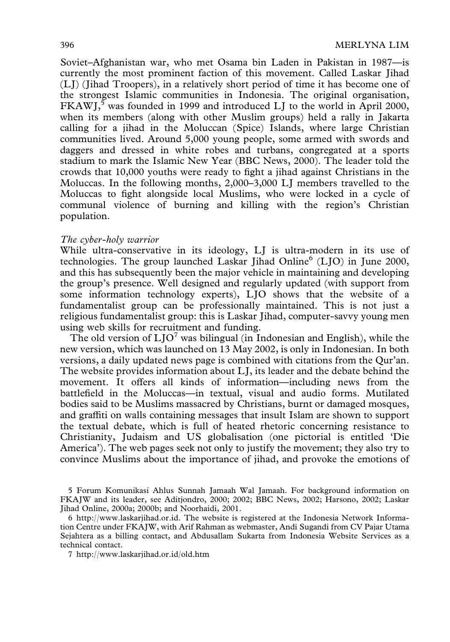Soviet–Afghanistan war, who met Osama bin Laden in Pakistan in 1987—is currently the most prominent faction of this movement. Called Laskar Jihad (LJ) (Jihad Troopers), in a relatively short period of time it has become one of the strongest Islamic communities in Indonesia. The original organisation,  $FKAWJ$ ,<sup>5</sup> was founded in 1999 and introduced LJ to the world in April 2000, when its members (along with other Muslim groups) held a rally in Jakarta calling for a jihad in the Moluccan (Spice) Islands, where large Christian communities lived. Around 5,000 young people, some armed with swords and daggers and dressed in white robes and turbans, congregated at a sports stadium to mark the Islamic New Year (BBC News, 2000). The leader told the crowds that 10,000 youths were ready to fight a jihad against Christians in the Moluccas. In the following months, 2,000–3,000 LJ members travelled to the Moluccas to fight alongside local Muslims, who were locked in a cycle of communal violence of burning and killing with the region's Christian population.

### The cyber-holy warrior

While ultra-conservative in its ideology, LJ is ultra-modern in its use of technologies. The group launched Laskar Jihad Online<sup>6</sup> (LJO) in June 2000, and this has subsequently been the major vehicle in maintaining and developing the group's presence. Well designed and regularly updated (with support from some information technology experts), LJO shows that the website of a fundamentalist group can be professionally maintained. This is not just a religious fundamentalist group: this is Laskar Jihad, computer-savvy young men using web skills for recruitment and funding.

The old version of  $LJO<sup>7</sup>$  was bilingual (in Indonesian and English), while the new version, which was launched on 13 May 2002, is only in Indonesian. In both versions, a daily updated news page is combined with citations from the Qur'an. The website provides information about LJ, its leader and the debate behind the movement. It offers all kinds of information—including news from the battlefield in the Moluccas—in textual, visual and audio forms. Mutilated bodies said to be Muslims massacred by Christians, burnt or damaged mosques, and graffiti on walls containing messages that insult Islam are shown to support the textual debate, which is full of heated rhetoric concerning resistance to Christianity, Judaism and US globalisation (one pictorial is entitled 'Die America'). The web pages seek not only to justify the movement; they also try to convince Muslims about the importance of jihad, and provoke the emotions of

5 Forum Komunikasi Ahlus Sunnah Jamaah Wal Jamaah. For background information on FKAJW and its leader, see Aditjondro, 2000; 2002; BBC News, 2002; Harsono, 2002; Laskar Jihad Online, 2000a; 2000b; and Noorhaidi, 2001.

6 http://www.laskarjihad.or.id. The website is registered at the Indonesia Network Information Centre under FKAJW, with Arif Rahman as webmaster, Andi Sugandi from CV Pajar Utama Sejahtera as a billing contact, and Abdusallam Sukarta from Indonesia Website Services as a technical contact.

7 http://www.laskarjihad.or.id/old.htm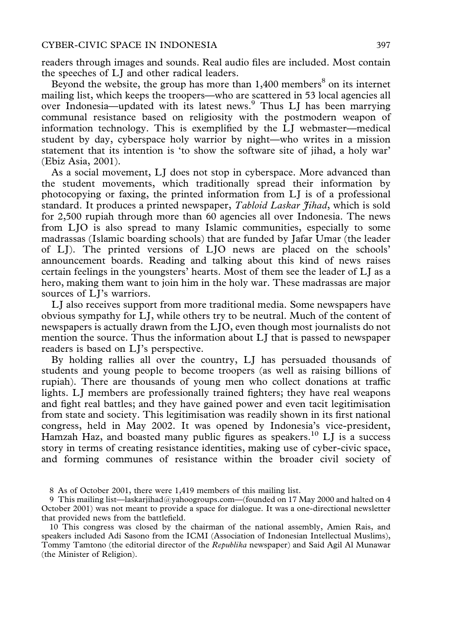readers through images and sounds. Real audio files are included. Most contain the speeches of LJ and other radical leaders.

Beyond the website, the group has more than  $1,400$  members<sup>8</sup> on its internet mailing list, which keeps the troopers—who are scattered in 53 local agencies all over Indonesia—updated with its latest news.9 Thus LJ has been marrying communal resistance based on religiosity with the postmodern weapon of information technology. This is exemplified by the LJ webmaster—medical student by day, cyberspace holy warrior by night—who writes in a mission statement that its intention is 'to show the software site of jihad, a holy war' (Ebiz Asia, 2001).

As a social movement, LJ does not stop in cyberspace. More advanced than the student movements, which traditionally spread their information by photocopying or faxing, the printed information from LJ is of a professional standard. It produces a printed newspaper, Tabloid Laskar Jihad, which is sold for 2,500 rupiah through more than 60 agencies all over Indonesia. The news from LJO is also spread to many Islamic communities, especially to some madrassas (Islamic boarding schools) that are funded by Jafar Umar (the leader of LJ). The printed versions of LJO news are placed on the schools' announcement boards. Reading and talking about this kind of news raises certain feelings in the youngsters' hearts. Most of them see the leader of LJ as a hero, making them want to join him in the holy war. These madrassas are major sources of LJ's warriors.

LJ also receives support from more traditional media. Some newspapers have obvious sympathy for LJ, while others try to be neutral. Much of the content of newspapers is actually drawn from the LJO, even though most journalists do not mention the source. Thus the information about LJ that is passed to newspaper readers is based on LJ's perspective.

By holding rallies all over the country, LJ has persuaded thousands of students and young people to become troopers (as well as raising billions of rupiah). There are thousands of young men who collect donations at traffic lights. LJ members are professionally trained fighters; they have real weapons and fight real battles; and they have gained power and even tacit legitimisation from state and society. This legitimisation was readily shown in its first national congress, held in May 2002. It was opened by Indonesia's vice-president, Hamzah Haz, and boasted many public figures as speakers.<sup>10</sup> LJ is a success story in terms of creating resistance identities, making use of cyber-civic space, and forming communes of resistance within the broader civil society of

<sup>8</sup> As of October 2001, there were 1,419 members of this mailing list.

<sup>9</sup> This mailing list—laskarjihad@yahoogroups.com—(founded on 17 May 2000 and halted on 4 October 2001) was not meant to provide a space for dialogue. It was a one-directional newsletter that provided news from the battlefield.

<sup>10</sup> This congress was closed by the chairman of the national assembly, Amien Rais, and speakers included Adi Sasono from the ICMI (Association of Indonesian Intellectual Muslims), Tommy Tamtono (the editorial director of the Republika newspaper) and Said Agil Al Munawar (the Minister of Religion).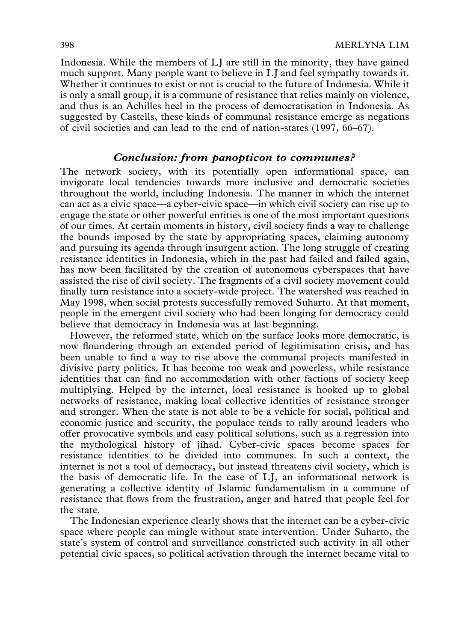Indonesia. While the members of LJ are still in the minority, they have gained much support. Many people want to believe in LJ and feel sympathy towards it. Whether it continues to exist or not is crucial to the future of Indonesia. While it is only a small group, it is a commune of resistance that relies mainly on violence, and thus is an Achilles heel in the process of democratisation in Indonesia. As suggested by Castells, these kinds of communal resistance emerge as negations of civil societies and can lead to the end of nation-states (1997, 66–67).

## Conclusion: from panopticon to communes?

The network society, with its potentially open informational space, can invigorate local tendencies towards more inclusive and democratic societies throughout the world, including Indonesia. The manner in which the internet can act as a civic space—a cyber-civic space—in which civil society can rise up to engage the state or other powerful entities is one of the most important questions of our times. At certain moments in history, civil society finds a way to challenge the bounds imposed by the state by appropriating spaces, claiming autonomy and pursuing its agenda through insurgent action. The long struggle of creating resistance identities in Indonesia, which in the past had failed and failed again, has now been facilitated by the creation of autonomous cyberspaces that have assisted the rise of civil society. The fragments of a civil society movement could finally turn resistance into a society-wide project. The watershed was reached in May 1998, when social protests successfully removed Suharto. At that moment, people in the emergent civil society who had been longing for democracy could believe that democracy in Indonesia was at last beginning.

However, the reformed state, which on the surface looks more democratic, is now floundering through an extended period of legitimisation crisis, and has been unable to find a way to rise above the communal projects manifested in divisive party politics. It has become too weak and powerless, while resistance identities that can find no accommodation with other factions of society keep multiplying. Helped by the internet, local resistance is hooked up to global networks of resistance, making local collective identities of resistance stronger and stronger. When the state is not able to be a vehicle for social, political and economic justice and security, the populace tends to rally around leaders who offer provocative symbols and easy political solutions, such as a regression into the mythological history of jihad. Cyber-civic spaces become spaces for resistance identities to be divided into communes. In such a context, the internet is not a tool of democracy, but instead threatens civil society, which is the basis of democratic life. In the case of LJ, an informational network is generating a collective identity of Islamic fundamentalism in a commune of resistance that flows from the frustration, anger and hatred that people feel for the state.

The Indonesian experience clearly shows that the internet can be a cyber-civic space where people can mingle without state intervention. Under Suharto, the state's system of control and surveillance constricted such activity in all other potential civic spaces, so political activation through the internet became vital to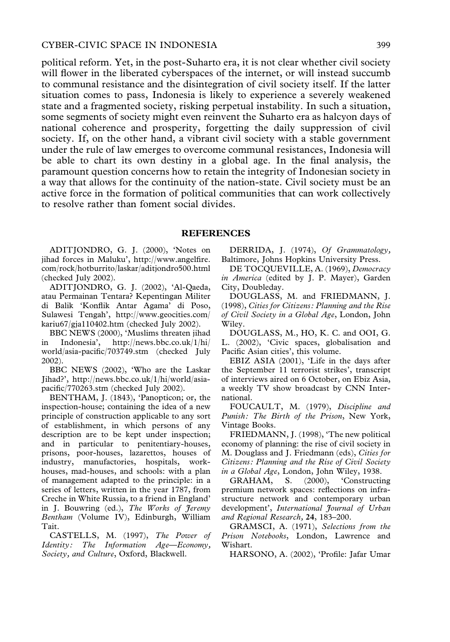political reform. Yet, in the post-Suharto era, it is not clear whether civil society will flower in the liberated cyberspaces of the internet, or will instead succumb to communal resistance and the disintegration of civil society itself. If the latter situation comes to pass, Indonesia is likely to experience a severely weakened state and a fragmented society, risking perpetual instability. In such a situation, some segments of society might even reinvent the Suharto era as halcyon days of national coherence and prosperity, forgetting the daily suppression of civil society. If, on the other hand, a vibrant civil society with a stable government under the rule of law emerges to overcome communal resistances, Indonesia will be able to chart its own destiny in a global age. In the final analysis, the paramount question concerns how to retain the integrity of Indonesian society in a way that allows for the continuity of the nation-state. Civil society must be an active force in the formation of political communities that can work collectively to resolve rather than foment social divides.

#### REFERENCES

ADITJONDRO, G. J. (2000), 'Notes on jihad forces in Maluku', http://www.angelfire. com/rock/hotburrito/laskar/aditjondro500.html (checked July 2002).

ADITJONDRO, G. J. (2002), 'Al-Qaeda, atau Permainan Tentara? Kepentingan Militer di Balik 'Konflik Antar Agama' di Poso, Sulawesi Tengah', http://www.geocities.com/ kariu67/gja110402.htm (checked July 2002).

BBC NEWS (2000), 'Muslims threaten jihad in Indonesia', http://news.bbc.co.uk/1/hi/ world/asia-pacific/703749.stm (checked July 2002).

BBC NEWS (2002), 'Who are the Laskar Jihad?', http://news.bbc.co.uk/1/hi/world/asiapacific/770263.stm (checked July 2002).

BENTHAM, J. (1843), 'Panopticon; or, the inspection-house; containing the idea of a new principle of construction applicable to any sort of establishment, in which persons of any description are to be kept under inspection; and in particular to penitentiary-houses, prisons, poor-houses, lazarettos, houses of industry, manufactories, hospitals, workhouses, mad-houses, and schools: with a plan of management adapted to the principle: in a series of letters, written in the year 1787, from Creche in White Russia, to a friend in England' in J. Bouwring (ed.), The Works of Jeremy Bentham (Volume IV), Edinburgh, William Tait.

CASTELLS, M. (1997), The Power of Identity: The Information Age—Economy, Society, and Culture, Oxford, Blackwell.

DERRIDA, J. (1974), Of Grammatology, Baltimore, Johns Hopkins University Press.

DE TOCQUEVILLE, A. (1969), Democracy in America (edited by J. P. Mayer), Garden City, Doubleday.

DOUGLASS, M. and FRIEDMANN, J. (1998), Cities for Citizens: Planning and the Rise of Civil Society in a Global Age, London, John Wiley.

DOUGLASS, M., HO, K. C. and OOI, G. L. (2002), 'Civic spaces, globalisation and Pacific Asian cities', this volume.

EBIZ ASIA (2001), 'Life in the days after the September 11 terrorist strikes', transcript of interviews aired on 6 October, on Ebiz Asia, a weekly TV show broadcast by CNN International.

FOUCAULT, M. (1979), Discipline and Punish: The Birth of the Prison, New York, Vintage Books.

FRIEDMANN, J. (1998), 'The new political economy of planning: the rise of civil society in M. Douglass and J. Friedmann (eds), Cities for Citizens: Planning and the Rise of Civil Society in a Global Age, London, John Wiley, 1938.

GRAHAM, S. (2000), 'Constructing premium network spaces: reflections on infrastructure network and contemporary urban development', International Journal of Urban and Regional Research, 24, 183–200.

GRAMSCI, A. (1971), Selections from the Prison Notebooks, London, Lawrence and Wishart.

HARSONO, A. (2002), 'Profile: Jafar Umar